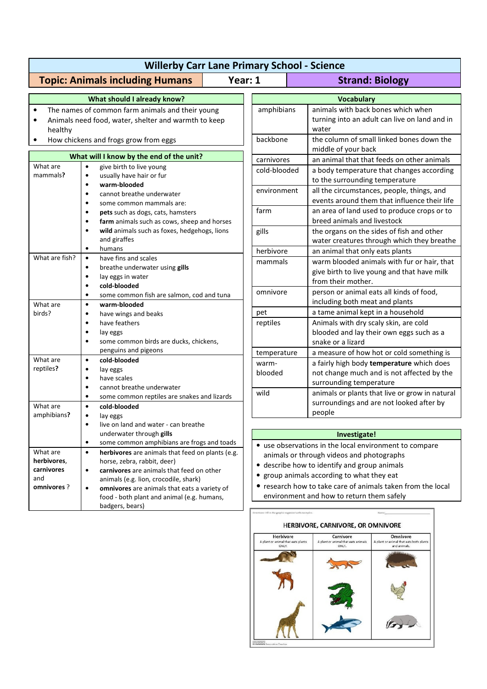| <b>Willerby Carr Lane Primary School - Science</b>                                                                                                                    |                                                                                                                                                                                                                                                                                                                         |                                                                                                                                                                                                                                                              |                                                                                                                    |
|-----------------------------------------------------------------------------------------------------------------------------------------------------------------------|-------------------------------------------------------------------------------------------------------------------------------------------------------------------------------------------------------------------------------------------------------------------------------------------------------------------------|--------------------------------------------------------------------------------------------------------------------------------------------------------------------------------------------------------------------------------------------------------------|--------------------------------------------------------------------------------------------------------------------|
|                                                                                                                                                                       | <b>Topic: Animals including Humans</b><br>Year: 1                                                                                                                                                                                                                                                                       |                                                                                                                                                                                                                                                              | <b>Strand: Biology</b>                                                                                             |
|                                                                                                                                                                       | What should I already know?                                                                                                                                                                                                                                                                                             |                                                                                                                                                                                                                                                              | <b>Vocabulary</b>                                                                                                  |
| The names of common farm animals and their young<br>$\bullet$<br>Animals need food, water, shelter and warmth to keep<br>healthy                                      |                                                                                                                                                                                                                                                                                                                         | amphibians                                                                                                                                                                                                                                                   | animals with back bones which when<br>turning into an adult can live on land and in<br>water                       |
| How chickens and frogs grow from eggs<br>$\bullet$                                                                                                                    |                                                                                                                                                                                                                                                                                                                         | backbone                                                                                                                                                                                                                                                     | the column of small linked bones down the<br>middle of your back                                                   |
| What will I know by the end of the unit?                                                                                                                              |                                                                                                                                                                                                                                                                                                                         | carnivores                                                                                                                                                                                                                                                   | an animal that that feeds on other animals                                                                         |
| What are<br>mammals?                                                                                                                                                  | give birth to live young<br>$\bullet$<br>usually have hair or fur<br>$\bullet$<br>warm-blooded<br>$\bullet$<br>cannot breathe underwater<br>$\bullet$<br>some common mammals are:<br>$\bullet$                                                                                                                          | cold-blooded                                                                                                                                                                                                                                                 | a body temperature that changes according<br>to the surrounding temperature                                        |
|                                                                                                                                                                       |                                                                                                                                                                                                                                                                                                                         | environment                                                                                                                                                                                                                                                  | all the circumstances, people, things, and<br>events around them that influence their life                         |
|                                                                                                                                                                       | pets such as dogs, cats, hamsters<br>$\bullet$<br>farm animals such as cows, sheep and horses<br>$\bullet$                                                                                                                                                                                                              | farm                                                                                                                                                                                                                                                         | an area of land used to produce crops or to<br>breed animals and livestock                                         |
|                                                                                                                                                                       | wild animals such as foxes, hedgehogs, lions<br>$\bullet$<br>and giraffes<br>humans<br>$\bullet$                                                                                                                                                                                                                        | gills                                                                                                                                                                                                                                                        | the organs on the sides of fish and other<br>water creatures through which they breathe                            |
| What are fish?                                                                                                                                                        | have fins and scales<br>$\bullet$                                                                                                                                                                                                                                                                                       | herbivore                                                                                                                                                                                                                                                    | an animal that only eats plants                                                                                    |
|                                                                                                                                                                       | breathe underwater using gills<br>$\bullet$<br>$\bullet$<br>lay eggs in water<br>cold-blooded                                                                                                                                                                                                                           | mammals                                                                                                                                                                                                                                                      | warm blooded animals with fur or hair, that<br>give birth to live young and that have milk<br>from their mother.   |
| What are                                                                                                                                                              | $\bullet$<br>some common fish are salmon, cod and tuna<br>$\bullet$<br>warm-blooded<br>$\bullet$                                                                                                                                                                                                                        | omnivore                                                                                                                                                                                                                                                     | person or animal eats all kinds of food,<br>including both meat and plants                                         |
| birds?                                                                                                                                                                | have wings and beaks<br>$\bullet$                                                                                                                                                                                                                                                                                       | pet                                                                                                                                                                                                                                                          | a tame animal kept in a household                                                                                  |
|                                                                                                                                                                       | have feathers<br>$\bullet$<br>$\bullet$<br>lay eggs<br>some common birds are ducks, chickens,<br>$\bullet$                                                                                                                                                                                                              | reptiles                                                                                                                                                                                                                                                     | Animals with dry scaly skin, are cold<br>blooded and lay their own eggs such as a<br>snake or a lizard             |
|                                                                                                                                                                       | penguins and pigeons                                                                                                                                                                                                                                                                                                    | temperature                                                                                                                                                                                                                                                  | a measure of how hot or cold something is                                                                          |
| What are<br>reptiles?                                                                                                                                                 | cold-blooded<br>$\bullet$<br>$\bullet$<br>lay eggs<br>have scales<br>$\bullet$<br>cannot breathe underwater<br>$\bullet$                                                                                                                                                                                                | warm-<br>blooded                                                                                                                                                                                                                                             | a fairly high body temperature which does<br>not change much and is not affected by the<br>surrounding temperature |
| What are<br>amphibians?                                                                                                                                               | some common reptiles are snakes and lizards<br>$\bullet$<br>cold-blooded<br>$\bullet$<br>$\bullet$<br>lay eggs                                                                                                                                                                                                          | wild                                                                                                                                                                                                                                                         | animals or plants that live or grow in natural<br>surroundings and are not looked after by<br>people               |
|                                                                                                                                                                       | live on land and water - can breathe                                                                                                                                                                                                                                                                                    |                                                                                                                                                                                                                                                              |                                                                                                                    |
|                                                                                                                                                                       | underwater through gills                                                                                                                                                                                                                                                                                                |                                                                                                                                                                                                                                                              | Investigate!                                                                                                       |
| What are<br>herbivores,<br>carnivores<br>and<br>omnivores ?                                                                                                           | some common amphibians are frogs and toads<br>$\bullet$<br>herbivores are animals that feed on plants (e.g.<br>$\bullet$<br>horse, zebra, rabbit, deer)<br>carnivores are animals that feed on other<br>$\bullet$<br>animals (e.g. lion, crocodile, shark)<br>omnivores are animals that eats a variety of<br>$\bullet$ | • use observations in the local environment to compare<br>animals or through videos and photographs<br>• describe how to identify and group animals<br>group animals according to what they eat<br>research how to take care of animals taken from the local |                                                                                                                    |
| environment and how to return them safely<br>food - both plant and animal (e.g. humans,<br>badgers, bears)<br>Directions: Fill in the graphic organizer with examples |                                                                                                                                                                                                                                                                                                                         |                                                                                                                                                                                                                                                              |                                                                                                                    |